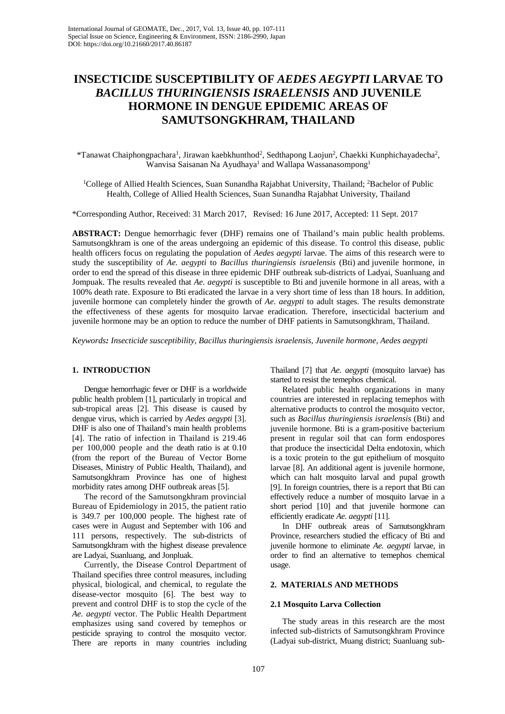# **INSECTICIDE SUSCEPTIBILITY OF** *AEDES AEGYPTI* **LARVAE TO** *BACILLUS THURINGIENSIS ISRAELENSIS* **AND JUVENILE HORMONE IN DENGUE EPIDEMIC AREAS OF SAMUTSONGKHRAM, THAILAND**

\*Tanawat Chaiphongpachara<sup>1</sup>, Jirawan kaebkhunthod<sup>2</sup>, Sedthapong Laojun<sup>2</sup>, Chaekki Kunphichayadecha<sup>2</sup>, Wanvisa Saisanan Na Ayudhaya<sup>1</sup> and Wallapa Wassanasompong<sup>1</sup>

<sup>1</sup>College of Allied Health Sciences, Suan Sunandha Rajabhat University, Thailand; <sup>2</sup>Bachelor of Public Health, College of Allied Health Sciences, Suan Sunandha Rajabhat University, Thailand

\*Corresponding Author, Received: 31 March 2017, Revised: 16 June 2017, Accepted: 11 Sept. 2017

**ABSTRACT:** Dengue hemorrhagic fever (DHF) remains one of Thailand's main public health problems. Samutsongkhram is one of the areas undergoing an epidemic of this disease. To control this disease, public health officers focus on regulating the population of *Aedes aegypti* larvae. The aims of this research were to study the susceptibility of *Ae. aegypti* to *Bacillus thuringiensis israelensis* (Bti) and juvenile hormone, in order to end the spread of this disease in three epidemic DHF outbreak sub-districts of Ladyai, Suanluang and Jompuak. The results revealed that *Ae. aegypti* is susceptible to Bti and juvenile hormone in all areas, with a 100% death rate. Exposure to Bti eradicated the larvae in a very short time of less than 18 hours. In addition, juvenile hormone can completely hinder the growth of *Ae. aegypti* to adult stages. The results demonstrate the effectiveness of these agents for mosquito larvae eradication. Therefore, insecticidal bacterium and juvenile hormone may be an option to reduce the number of DHF patients in Samutsongkhram, Thailand.

*Keywords: Insecticide susceptibility, Bacillus thuringiensis israelensis, Juvenile hormone, Aedes aegypti* 

## **1. INTRODUCTION**

Dengue hemorrhagic fever or DHF is a worldwide public health problem [1], particularly in tropical and sub-tropical areas [2]. This disease is caused by dengue virus, which is carried by *Aedes aegypti* [3]. DHF is also one of Thailand's main health problems [4]. The ratio of infection in Thailand is 219.46 per 100,000 people and the death ratio is at 0.10 (from the report of the Bureau of Vector Borne Diseases, Ministry of Public Health, Thailand), and Samutsongkhram Province has one of highest morbidity rates among DHF outbreak areas [5].

The record of the Samutsongkhram provincial Bureau of Epidemiology in 2015, the patient ratio is 349.7 per 100,000 people. The highest rate of cases were in August and September with 106 and 111 persons, respectively. The sub-districts of Samutsongkhram with the highest disease prevalence are Ladyai, Suanluang, and Jonpluak.

Currently, the Disease Control Department of Thailand specifies three control measures, including physical, biological, and chemical, to regulate the disease-vector mosquito [6]. The best way to prevent and control DHF is to stop the cycle of the *Ae. aegypti* vector. The Public Health Department emphasizes using sand covered by temephos or pesticide spraying to control the mosquito vector. There are reports in many countries including Thailand [7] that *Ae. aegypti* (mosquito larvae) has started to resist the temephos chemical.

Related public health organizations in many countries are interested in replacing temephos with alternative products to control the mosquito vector, such as *Bacillus thuringiensis israelensis* (Bti) and juvenile hormone. Bti is a gram-positive bacterium present in regular soil that can form endospores that produce the insecticidal Delta endotoxin, which is a toxic protein to the gut epithelium of mosquito larvae [8]. An additional agent is juvenile hormone, which can halt mosquito larval and pupal growth [9]. In foreign countries, there is a report that Bti can effectively reduce a number of mosquito larvae in a short period [10] and that juvenile hormone can efficiently eradicate *Ae. aegypti* [11].

In DHF outbreak areas of Samutsongkhram Province, researchers studied the efficacy of Bti and juvenile hormone to eliminate *Ae. aegypti* larvae, in order to find an alternative to temephos chemical usage.

#### **2. MATERIALS AND METHODS**

### **2.1 Mosquito Larva Collection**

The study areas in this research are the most infected sub-districts of Samutsongkhram Province (Ladyai sub-district, Muang district; Suanluang sub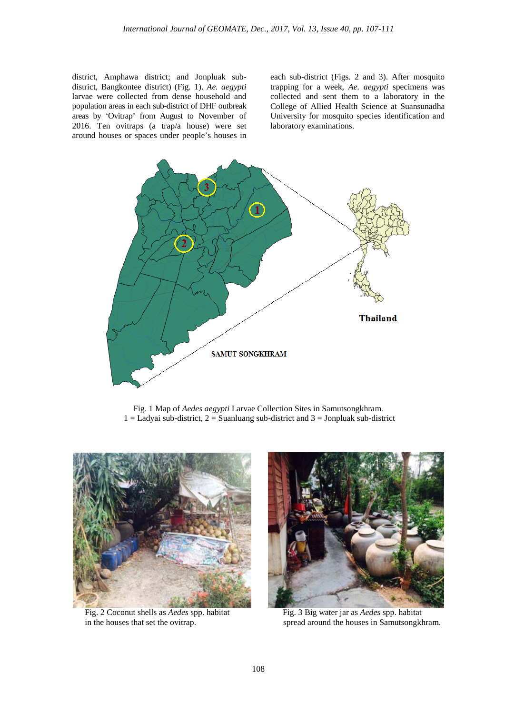district, Amphawa district; and Jonpluak subdistrict, Bangkontee district) (Fig. 1). *Ae. aegypti*  larvae were collected from dense household and population areas in each sub-district of DHF outbreak areas by 'Ovitrap' from August to November of 2016. Ten ovitraps (a trap/a house) were set around houses or spaces under people's houses in

each sub-district (Figs. 2 and 3). After mosquito trapping for a week, *Ae. aegypti* specimens was collected and sent them to a laboratory in the College of Allied Health Science at Suansunadha University for mosquito species identification and laboratory examinations.



Fig. 1 Map of *Aedes aegypti* Larvae Collection Sites in Samutsongkhram.  $1 =$  Ladyai sub-district,  $2 =$  Suanluang sub-district and  $3 =$  Jonpluak sub-district



Fig. 2 Coconut shells as *Aedes* spp. habitat Fig. 3 Big water jar as *Aedes* spp. habitat



in the houses that set the ovitrap. spread around the houses in Samutsongkhram.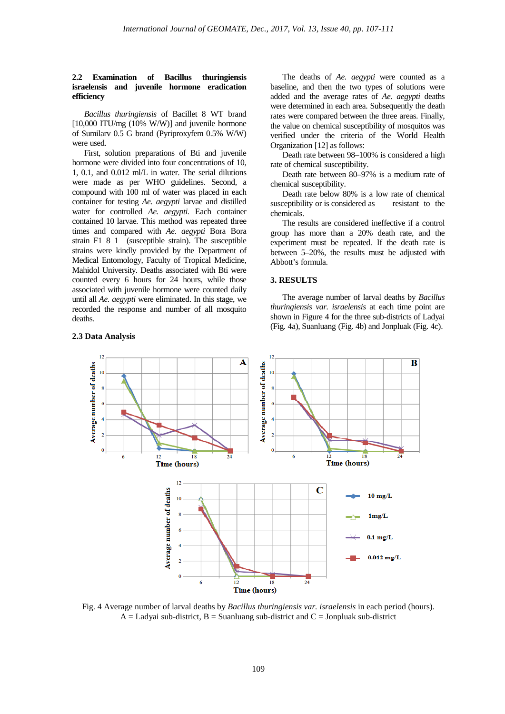## **2.2 Examination of Bacillus thuringiensis israelensis and juvenile hormone eradication efficiency**

*Bacillus thuringiensis* of Bacillet 8 WT brand [10,000 ITU/mg (10% W/W)] and juvenile hormone of Sumilarv 0.5 G brand (Pyriproxyfem 0.5% W/W) were used.

First, solution preparations of Bti and juvenile hormone were divided into four concentrations of 10, 1, 0.1, and 0.012 ml/L in water. The serial dilutions were made as per WHO guidelines. Second, a compound with 100 ml of water was placed in each container for testing *Ae. aegypti* larvae and distilled water for controlled *Ae. aegypti.* Each container contained 10 larvae*.* This method was repeated three times and compared with *Ae. aegypti* Bora Bora strain F181 (susceptible strain). The susceptible strains were kindly provided by the Department of Medical Entomology, Faculty of Tropical Medicine, Mahidol University. Deaths associated with Bti were counted every 6 hours for 24 hours, while those associated with juvenile hormone were counted daily until all *Ae. aegypti* were eliminated. In this stage, we recorded the response and number of all mosquito deaths*.*

#### **2.3 Data Analysis**

The deaths of *Ae. aegypti* were counted as a baseline, and then the two types of solutions were added and the average rates of *Ae. aegypti* deaths were determined in each area. Subsequently the death rates were compared between the three areas. Finally, the value on chemical susceptibility of mosquitos was verified under the criteria of the World Health Organization [12] as follows:

Death rate between 98–100% is considered a high rate of chemical susceptibility.

Death rate between 80–97% is a medium rate of chemical susceptibility.

Death rate below 80% is a low rate of chemical susceptibility or is considered as resistant to the chemicals.

The results are considered ineffective if a control group has more than a 20% death rate, and the experiment must be repeated. If the death rate is between 5–20%, the results must be adjusted with Abbott's formula.

#### **3. RESULTS**

The average number of larval deaths by *Bacillus thuringiensis var. israelensis* at each time point are shown in Figure 4 for the three sub-districts of Ladyai (Fig. 4a), Suanluang (Fig. 4b) and Jonpluak (Fig. 4c).



Fig. 4 Average number of larval deaths by *Bacillus thuringiensis var. israelensis* in each period (hours).  $A =$  Ladyai sub-district,  $B =$  Suanluang sub-district and  $C =$  Jonpluak sub-district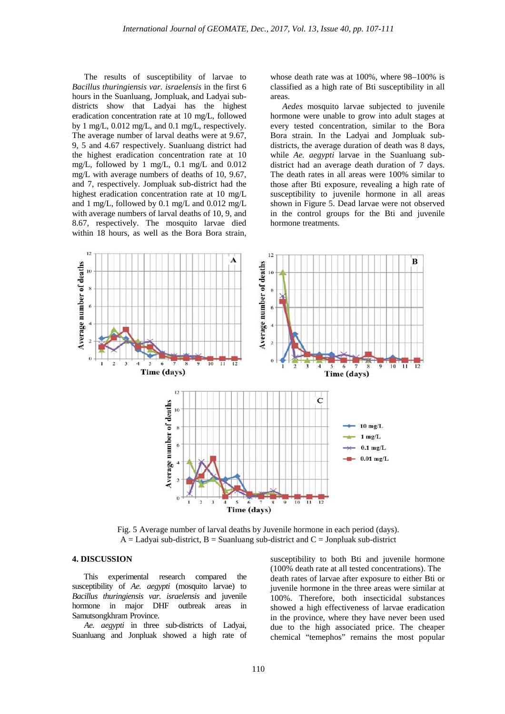The results of susceptibility of larvae to *Bacillus thuringiensis var. israelensis* in the first 6 hours in the Suanluang, Jompluak, and Ladyai subdistricts show that Ladyai has the highest eradication concentration rate at 10 mg/L, followed by 1 mg/L, 0.012 mg/L, and 0.1 mg/L, respectively. The average number of larval deaths were at 9.67, 9, 5 and 4.67 respectively. Suanluang district had the highest eradication concentration rate at 10 mg/L, followed by 1 mg/L, 0.1 mg/L and 0.012 mg/L with average numbers of deaths of 10, 9.67, and 7, respectively. Jompluak sub-district had the highest eradication concentration rate at 10 mg/L and 1 mg/L, followed by 0.1 mg/L and 0.012 mg/L with average numbers of larval deaths of 10, 9, and 8.67, respectively. The mosquito larvae died within 18 hours, as well as the Bora Bora strain, whose death rate was at 100%, where 98–100% is classified as a high rate of Bti susceptibility in all areas.

*Aedes* mosquito larvae subjected to juvenile hormone were unable to grow into adult stages at every tested concentration, similar to the Bora Bora strain. In the Ladyai and Jompluak subdistricts, the average duration of death was 8 days, while *Ae. aegypti* larvae in the Suanluang subdistrict had an average death duration of 7 days. The death rates in all areas were 100% similar to those after Bti exposure, revealing a high rate of susceptibility to juvenile hormone in all areas shown in Figure 5. Dead larvae were not observed in the control groups for the Bti and juvenile hormone treatments.



Fig. 5 Average number of larval deaths by Juvenile hormone in each period (days).  $A =$  Ladyai sub-district,  $B =$  Suanluang sub-district and  $C =$  Jonpluak sub-district

## **4. DISCUSSION**

This experimental research compared the susceptibility of *Ae. aegypti* (mosquito larvae) to *Bacillus thuringiensis var. israelensis* and juvenile hormone in major DHF outbreak areas in Samutsongkhram Province.

*Ae. aegypti* in three sub-districts of Ladyai, Suanluang and Jonpluak showed a high rate of

susceptibility to both Bti and juvenile hormone (100% death rate at all tested concentrations). The death rates of larvae after exposure to either Bti or juvenile hormone in the three areas were similar at 100%. Therefore, both insecticidal substances showed a high effectiveness of larvae eradication in the province, where they have never been used due to the high associated price. The cheaper chemical "temephos" remains the most popular